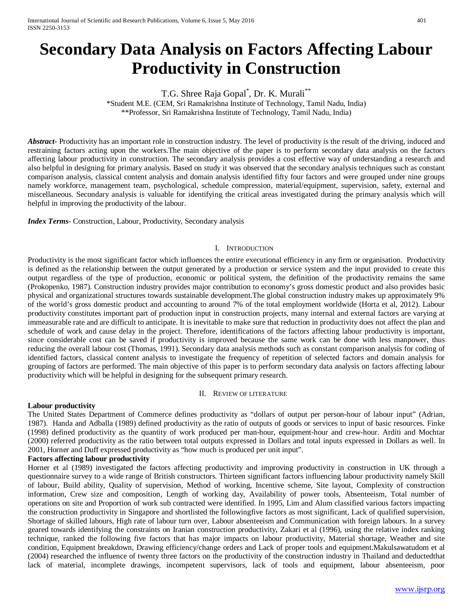# **Secondary Data Analysis on Factors Affecting Labour Productivity in Construction**

T.G. Shree Raja Gopal\* , Dr. K. Murali\*\*

\*Student M.E. (CEM, Sri Ramakrishna Institute of Technology, Tamil Nadu, India) \*\*Professor, Sri Ramakrishna Institute of Technology, Tamil Nadu, India)

*Abstract*- Productivity has an important role in construction industry. The level of productivity is the result of the driving, induced and restraining factors acting upon the workers.The main objective of the paper is to perform secondary data analysis on the factors affecting labour productivity in construction. The secondary analysis provides a cost effective way of understanding a research and also helpful in designing for primary analysis. Based on study it was observed that the secondary analysis techniques such as constant comparison analysis, classical content analysis and domain analysis identified fifty four factors and were grouped under nine groups namely workforce, management team, psychological, schedule compression, material/equipment, supervision, safety, external and miscellaneous. Secondary analysis is valuable for identifying the critical areas investigated during the primary analysis which will helpful in improving the productivity of the labour.

*Index Terms*- Construction, Labour, Productivity, Secondary analysis

#### I. INTRODUCTION

Productivity is the most significant factor which influences the entire executional efficiency in any firm or organisation. Productivity is defined as the relationship between the output generated by a production or service system and the input provided to create this output regardless of the type of production, economic or political system, the definition of the productivity remains the same (Prokopenko, 1987). Construction industry provides major contribution to economy's gross domestic product and also provides basic physical and organizational structures towards sustainable development.The global construction industry makes up approximately 9% of the world's gross domestic product and accounting to around 7% of the total employment worldwide (Horta et al, 2012). Labour productivity constitutes important part of production input in construction projects, many internal and external factors are varying at immeasurable rate and are difficult to anticipate. It is inevitable to make sure that reduction in productivity does not affect the plan and schedule of work and cause delay in the project. Therefore, identifications of the factors affecting labour productivity is important, since considerable cost can be saved if productivity is improved because the same work can be done with less manpower, thus reducing the overall labour cost (Thomas, 1991). Secondary data analysis methods such as constant comparison analysis for coding of identified factors, classical content analysis to investigate the frequency of repetition of selected factors and domain analysis for grouping of factors are performed. The main objective of this paper is to perform secondary data analysis on factors affecting labour productivity which will be helpful in designing for the subsequent primary research.

#### II. REVIEW OF LITERATURE

#### **Labour productivity**

The United States Department of Commerce defines productivity as "dollars of output per person-hour of labour input" (Adrian, 1987). Handa and Adballa (1989) defined productivity as the ratio of outputs of goods or services to input of basic resources. Finke (1998) defined productivity as the quantity of work produced per man-hour, equipment-hour and crew-hour. Arditi and Mochtar (2000) referred productivity as the ratio between total outputs expressed in Dollars and total inputs expressed in Dollars as well. In 2001, Horner and Duff expressed productivity as "how much is produced per unit input".

#### **Factors affecting labour productivity**

Horner et al (1989) investigated the factors affecting productivity and improving productivity in construction in UK through a questionnaire survey to a wide range of British constructors. Thirteen significant factors influencing labour productivity namely Skill of labour, Build ability, Quality of supervision, Method of working, Incentive scheme, Site layout, Complexity of construction information, Crew size and composition, Length of working day, Availability of power tools, Absenteeism, Total number of operations on site and Proportion of work sub contracted were identified. In 1995, Lim and Alum classified various factors impacting the construction productivity in Singapore and shortlisted the followingfive factors as most significant, Lack of qualified supervision, Shortage of skilled labours, High rate of labour turn over, Labour absenteeism and Communication with foreign labours. In a survey geared towards identifying the constraints on Iranian construction productivity, Zakari et al (1996), using the relative index ranking technique, ranked the following five factors that has major impacts on labour productivity, Material shortage, Weather and site condition, Equipment breakdown, Drawing efficiency/change orders and Lack of proper tools and equipment.Makulsawatudom et al (2004) researched the influence of twenty three factors on the productivity of the construction industry in Thailand and deductedthat lack of material, incomplete drawings, incompetent supervisors, lack of tools and equipment, labour absenteeism, poor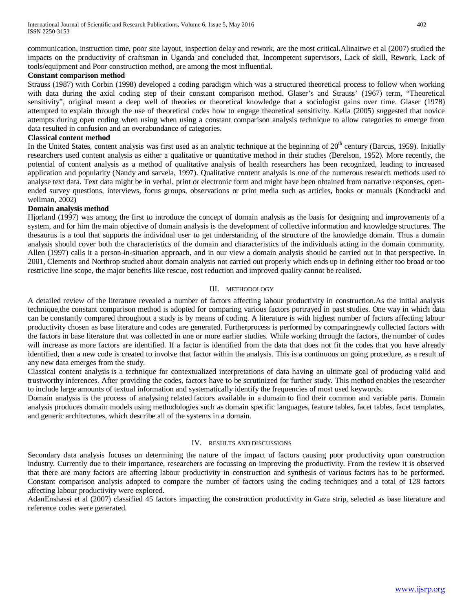communication, instruction time, poor site layout, inspection delay and rework, are the most critical.Alinaitwe et al (2007) studied the impacts on the productivity of craftsman in Uganda and concluded that, Incompetent supervisors, Lack of skill, Rework, Lack of tools/equipment and Poor construction method, are among the most influential.

#### **Constant comparison method**

Strauss (1987) with Corbin (1998) developed a coding paradigm which was a structured theoretical process to follow when working with data during the axial coding step of their constant comparison method. Glaser's and Strauss' (1967) term, "Theoretical sensitivity", original meant a deep well of theories or theoretical knowledge that a sociologist gains over time. Glaser (1978) attempted to explain through the use of theoretical codes how to engage theoretical sensitivity. Kella (2005) suggested that novice attempts during open coding when using when using a constant comparison analysis technique to allow categories to emerge from data resulted in confusion and an overabundance of categories.

#### **Classical content method**

In the United States, content analysis was first used as an analytic technique at the beginning of  $20<sup>th</sup>$  century (Barcus, 1959). Initially researchers used content analysis as either a qualitative or quantitative method in their studies (Berelson, 1952). More recently, the potential of content analysis as a method of qualitative analysis of health researchers has been recognized, leading to increased application and popularity (Nandy and sarvela, 1997). Qualitative content analysis is one of the numerous research methods used to analyse text data. Text data might be in verbal, print or electronic form and might have been obtained from narrative responses, openended survey questions, interviews, focus groups, observations or print media such as articles, books or manuals (Kondracki and wellman, 2002)

#### **Domain analysis method**

Hjorland (1997) was among the first to introduce the concept of domain analysis as the basis for designing and improvements of a system, and for him the main objective of domain analysis is the development of collective information and knowledge structures. The thesaurus is a tool that supports the individual user to get understanding of the structure of the knowledge domain. Thus a domain analysis should cover both the characteristics of the domain and characteristics of the individuals acting in the domain community. Allen (1997) calls it a person-in-situation approach, and in our view a domain analysis should be carried out in that perspective. In 2001, Clements and Northrop studied about domain analysis not carried out properly which ends up in defining either too broad or too restrictive line scope, the major benefits like rescue, cost reduction and improved quality cannot be realised.

#### III. METHODOLOGY

A detailed review of the literature revealed a number of factors affecting labour productivity in construction.As the initial analysis technique,the constant comparison method is adopted for comparing various factors portrayed in past studies. One way in which data can be constantly compared throughout a study is by means of coding. A literature is with highest number of factors affecting labour productivity chosen as base literature and codes are generated. Furtherprocess is performed by comparingnewly collected factors with the factors in base literature that was collected in one or more earlier studies. While working through the factors, the number of codes will increase as more factors are identified. If a factor is identified from the data that does not fit the codes that you have already identified, then a new code is created to involve that factor within the analysis. This is a continuous on going procedure, as a result of any new data emerges from the study.

Classical content analysis is a technique for contextualized interpretations of data having an ultimate goal of producing valid and trustworthy inferences. After providing the codes, factors have to be scrutinized for further study. This method enables the researcher to include large amounts of textual information and systematically identify the frequencies of most used keywords.

Domain analysis is the process of analysing related factors available in a domain to find their common and variable parts. Domain analysis produces domain models using methodologies such as domain specific languages, feature tables, facet tables, facet templates, and generic architectures, which describe all of the systems in a domain.

#### IV. RESULTS AND DISCUSSIONS

Secondary data analysis focuses on determining the nature of the impact of factors causing poor productivity upon construction industry. Currently due to their importance, researchers are focussing on improving the productivity. From the review it is observed that there are many factors are affecting labour productivity in construction and synthesis of various factors has to be performed. Constant comparison analysis adopted to compare the number of factors using the coding techniques and a total of 128 factors affecting labour productivity were explored.

AdanEnshassi et al (2007) classified 45 factors impacting the construction productivity in Gaza strip, selected as base literature and reference codes were generated.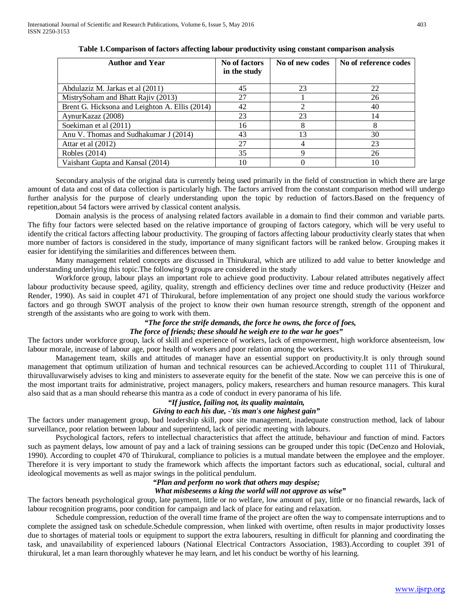| <b>Author and Year</b>                         | No of factors<br>in the study | No of new codes | No of reference codes |
|------------------------------------------------|-------------------------------|-----------------|-----------------------|
| Abdulaziz M. Jarkas et al (2011)               | 45                            | 23              | 22                    |
| MistrySoham and Bhatt Rajiv (2013)             | 27                            |                 | 26                    |
| Brent G. Hicksona and Leighton A. Ellis (2014) | 42                            |                 | 40                    |
| AynurKazaz (2008)                              | 23                            | 23              | 14                    |
| Soekiman et al (2011)                          | 16                            |                 | 8                     |
| Anu V. Thomas and Sudhakumar J (2014)          | 43                            | $\mathcal{R}$   | 30                    |
| Attar et al (2012)                             | 27                            |                 | 23                    |
| Robles (2014)                                  | 35                            |                 | 26                    |
| Vaishant Gupta and Kansal (2014)               | 10                            |                 | 10                    |

**Table 1.Comparison of factors affecting labour productivity using constant comparison analysis**

Secondary analysis of the original data is currently being used primarily in the field of construction in which there are large amount of data and cost of data collection is particularly high. The factors arrived from the constant comparison method will undergo further analysis for the purpose of clearly understanding upon the topic by reduction of factors.Based on the frequency of repetition,about 54 factors were arrived by classical content analysis.

Domain analysis is the process of analysing related factors available in a domain to find their common and variable parts. The fifty four factors were selected based on the relative importance of grouping of factors category, which will be very useful to identify the critical factors affecting labour productivity. The grouping of factors affecting labour productivity clearly states that when more number of factors is considered in the study, importance of many significant factors will be ranked below. Grouping makes it easier for identifying the similarities and differences between them.

Many management related concepts are discussed in Thirukural, which are utilized to add value to better knowledge and understanding underlying this topic.The following 9 groups are considered in the study

Workforce group, labour plays an important role to achieve good productivity. Labour related attributes negatively affect labour productivity because speed, agility, quality, strength and efficiency declines over time and reduce productivity (Heizer and Render, 1990). As said in couplet 471 of Thirukural, before implementation of any project one should study the various workforce factors and go through SWOT analysis of the project to know their own human resource strength, strength of the opponent and strength of the assistants who are going to work with them.

## *"The force the strife demands, the force he owns, the force of foes,*

## *The force of friends; these should he weigh ere to the war he goes"*

The factors under workforce group, lack of skill and experience of workers, lack of empowerment, high workforce absenteeism, low labour morale, increase of labour age, poor health of workers and poor relation among the workers.

Management team, skills and attitudes of manager have an essential support on productivity.It is only through sound management that optimum utilization of human and technical resources can be achieved.According to couplet 111 of Thirukural, thiruvalluvarwisely advises to king and ministers to asseverate equity for the benefit of the state. Now we can perceive this is one of the most important traits for administrative, project managers, policy makers, researchers and human resource managers. This kural also said that as a man should rehearse this mantra as a code of conduct in every panorama of his life.

#### *"If justice, failing not, its quality maintain,*

#### *Giving to each his due, -'tis man's one highest gain"*

The factors under management group, bad leadership skill, poor site management, inadequate construction method, lack of labour surveillance, poor relation between labour and superintend, lack of periodic meeting with labours.

Psychological factors, refers to intellectual characteristics that affect the attitude, behaviour and function of mind. Factors such as payment delays, low amount of pay and a lack of training sessions can be grouped under this topic (DeCenzo and Holoviak, 1990). According to couplet 470 of Thirukural, compliance to policies is a mutual mandate between the employee and the employer. Therefore it is very important to study the framework which affects the important factors such as educational, social, cultural and ideological movements as well as major swings in the political pendulum.

## *"Plan and perform no work that others may despise;*

#### *What misbeseems a king the world will not approve as wise"*

The factors beneath psychological group, late payment, little or no welfare, low amount of pay, little or no financial rewards, lack of labour recognition programs, poor condition for campaign and lack of place for eating and relaxation.

Schedule compression, reduction of the overall time frame of the project are often the way to compensate interruptions and to complete the assigned task on schedule.Schedule compression, when linked with overtime, often results in major productivity losses due to shortages of material tools or equipment to support the extra labourers, resulting in difficult for planning and coordinating the task, and unavailability of experienced labours (National Electrical Contractors Association, 1983).According to couplet 391 of thirukural, let a man learn thoroughly whatever he may learn, and let his conduct be worthy of his learning.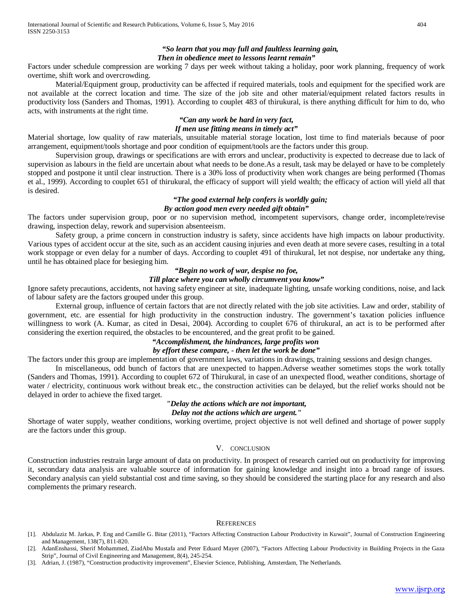## *Then in obedience meet to lessons learnt remain"*

Factors under schedule compression are working 7 days per week without taking a holiday, poor work planning, frequency of work overtime, shift work and overcrowding.

Material/Equipment group, productivity can be affected if required materials, tools and equipment for the specified work are not available at the correct location and time. The size of the job site and other material/equipment related factors results in productivity loss (Sanders and Thomas, 1991). According to couplet 483 of thirukural, is there anything difficult for him to do, who acts, with instruments at the right time.

#### *"Can any work be hard in very fact, If men use fitting means in timely act"*

Material shortage, low quality of raw materials, unsuitable material storage location, lost time to find materials because of poor arrangement, equipment/tools shortage and poor condition of equipment/tools are the factors under this group.

Supervision group, drawings or specifications are with errors and unclear, productivity is expected to decrease due to lack of supervision as labours in the field are uncertain about what needs to be done.As a result, task may be delayed or have to be completely stopped and postpone it until clear instruction. There is a 30% loss of productivity when work changes are being performed (Thomas et al., 1999). According to couplet 651 of thirukural, the efficacy of support will yield wealth; the efficacy of action will yield all that is desired.

#### *"The good external help confers is worldly gain; By action good men every needed gift obtain"*

The factors under supervision group, poor or no supervision method, incompetent supervisors, change order, incomplete/revise drawing, inspection delay, rework and supervision absenteeism.

Safety group, a prime concern in construction industry is safety, since accidents have high impacts on labour productivity. Various types of accident occur at the site, such as an accident causing injuries and even death at more severe cases, resulting in a total work stoppage or even delay for a number of days. According to couplet 491 of thirukural, let not despise, nor undertake any thing, until he has obtained place for besieging him.

#### *"Begin no work of war, despise no foe,*

#### *Till place where you can wholly circumvent you know"*

Ignore safety precautions, accidents, not having safety engineer at site, inadequate lighting, unsafe working conditions, noise, and lack of labour safety are the factors grouped under this group.

External group, influence of certain factors that are not directly related with the job site activities. Law and order, stability of government, etc. are essential for high productivity in the construction industry. The government's taxation policies influence willingness to work (A. Kumar, as cited in Desai, 2004). According to couplet 676 of thirukural, an act is to be performed after considering the exertion required, the obstacles to be encountered, and the great profit to be gained.

## *"Accomplishment, the hindrances, large profits won*

#### *by effort these compare, - then let the work be done"*

The factors under this group are implementation of government laws, variations in drawings, training sessions and design changes.

In miscellaneous, odd bunch of factors that are unexpected to happen.Adverse weather sometimes stops the work totally (Sanders and Thomas, 1991). According to couplet 672 of Thirukural, in case of an unexpected flood, weather conditions, shortage of water / electricity, continuous work without break etc., the construction activities can be delayed, but the relief works should not be delayed in order to achieve the fixed target.

# *"Delay the actions which are not important,*

## *Delay not the actions which are urgent."*

Shortage of water supply, weather conditions, working overtime, project objective is not well defined and shortage of power supply are the factors under this group.

#### V. CONCLUSION

Construction industries restrain large amount of data on productivity. In prospect of research carried out on productivity for improving it, secondary data analysis are valuable source of information for gaining knowledge and insight into a broad range of issues. Secondary analysis can yield substantial cost and time saving, so they should be considered the starting place for any research and also complements the primary research.

#### **REFERENCES**

- [1]. Abdulaziz M. Jarkas, P. Eng and Camille G. Bitar (2011), "Factors Affecting Construction Labour Productivity in Kuwait", Journal of Construction Engineering and Management, 138(7), 811-820.
- [2]. AdanEnshassi, Sherif Mohammed, ZiadAbu Mustafa and Peter Eduard Mayer (2007), "Factors Affecting Labour Productivity in Building Projects in the Gaza Strip", Journal of Civil Engineering and Management, 8(4), 245-254.
- [3]. Adrian, J. (1987), "Construction productivity improvement", Elsevier Science, Publishing, Amsterdam, The Netherlands.